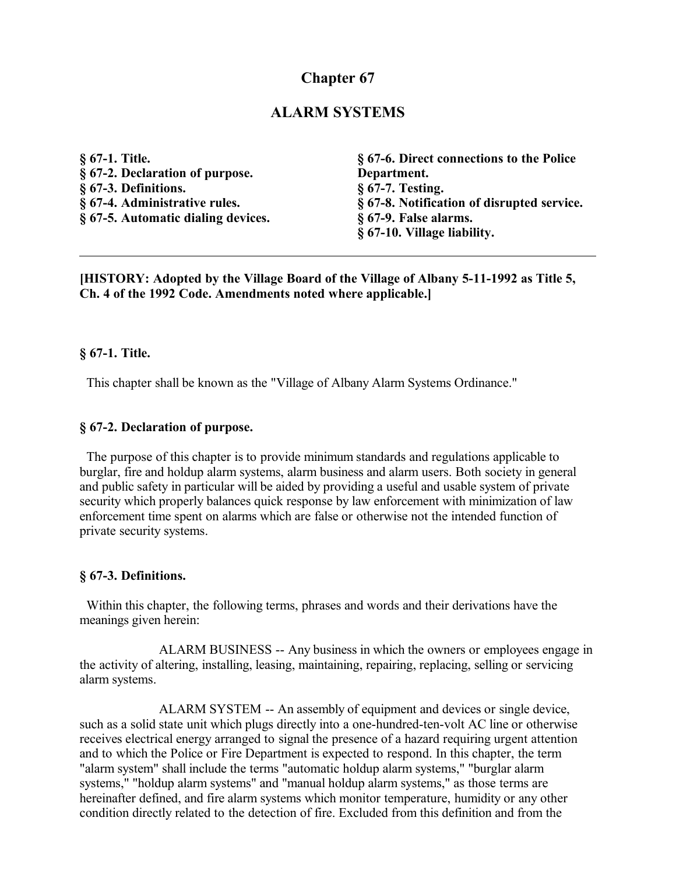# **Chapter 67**

## **ALARM SYSTEMS**

**§ 67-1. Title. § 67-2. Declaration of purpose. § 67-3. Definitions. § 67-4. Administrative rules. § 67-5. Automatic dialing devices. § 67-6. Direct connections to the Police Department. § 67-7. Testing. § 67-8. Notification of disrupted service. § 67-9. False alarms. § 67-10. Village liability.**

**[HISTORY: Adopted by the Village Board of the Village of Albany 5-11-1992 as Title 5, Ch. 4 of the 1992 Code. Amendments noted where applicable.]**

#### **§ 67-1. Title.**

This chapter shall be known as the "Village of Albany Alarm Systems Ordinance."

#### **§ 67-2. Declaration of purpose.**

 The purpose of this chapter is to provide minimum standards and regulations applicable to burglar, fire and holdup alarm systems, alarm business and alarm users. Both society in general and public safety in particular will be aided by providing a useful and usable system of private security which properly balances quick response by law enforcement with minimization of law enforcement time spent on alarms which are false or otherwise not the intended function of private security systems.

#### **§ 67-3. Definitions.**

 Within this chapter, the following terms, phrases and words and their derivations have the meanings given herein:

ALARM BUSINESS -- Any business in which the owners or employees engage in the activity of altering, installing, leasing, maintaining, repairing, replacing, selling or servicing alarm systems.

ALARM SYSTEM -- An assembly of equipment and devices or single device, such as a solid state unit which plugs directly into a one-hundred-ten-volt AC line or otherwise receives electrical energy arranged to signal the presence of a hazard requiring urgent attention and to which the Police or Fire Department is expected to respond. In this chapter, the term "alarm system" shall include the terms "automatic holdup alarm systems," "burglar alarm systems," "holdup alarm systems" and "manual holdup alarm systems," as those terms are hereinafter defined, and fire alarm systems which monitor temperature, humidity or any other condition directly related to the detection of fire. Excluded from this definition and from the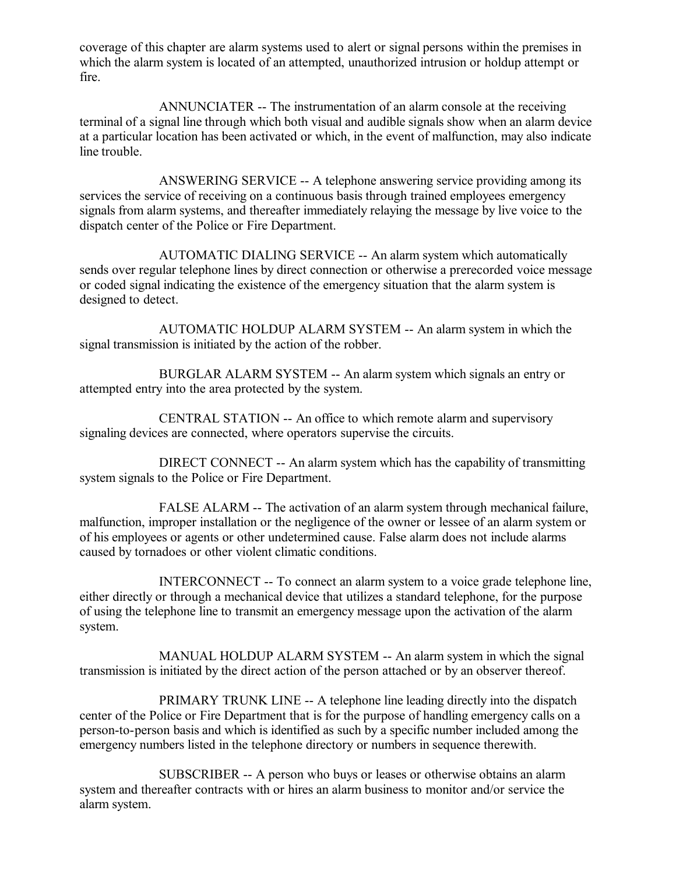coverage of this chapter are alarm systems used to alert or signal persons within the premises in which the alarm system is located of an attempted, unauthorized intrusion or holdup attempt or fire.

ANNUNCIATER -- The instrumentation of an alarm console at the receiving terminal of a signal line through which both visual and audible signals show when an alarm device at a particular location has been activated or which, in the event of malfunction, may also indicate line trouble.

ANSWERING SERVICE -- A telephone answering service providing among its services the service of receiving on a continuous basis through trained employees emergency signals from alarm systems, and thereafter immediately relaying the message by live voice to the dispatch center of the Police or Fire Department.

AUTOMATIC DIALING SERVICE -- An alarm system which automatically sends over regular telephone lines by direct connection or otherwise a prerecorded voice message or coded signal indicating the existence of the emergency situation that the alarm system is designed to detect.

AUTOMATIC HOLDUP ALARM SYSTEM -- An alarm system in which the signal transmission is initiated by the action of the robber.

BURGLAR ALARM SYSTEM -- An alarm system which signals an entry or attempted entry into the area protected by the system.

CENTRAL STATION -- An office to which remote alarm and supervisory signaling devices are connected, where operators supervise the circuits.

DIRECT CONNECT -- An alarm system which has the capability of transmitting system signals to the Police or Fire Department.

FALSE ALARM -- The activation of an alarm system through mechanical failure, malfunction, improper installation or the negligence of the owner or lessee of an alarm system or of his employees or agents or other undetermined cause. False alarm does not include alarms caused by tornadoes or other violent climatic conditions.

INTERCONNECT -- To connect an alarm system to a voice grade telephone line, either directly or through a mechanical device that utilizes a standard telephone, for the purpose of using the telephone line to transmit an emergency message upon the activation of the alarm system.

MANUAL HOLDUP ALARM SYSTEM -- An alarm system in which the signal transmission is initiated by the direct action of the person attached or by an observer thereof.

PRIMARY TRUNK LINE -- A telephone line leading directly into the dispatch center of the Police or Fire Department that is for the purpose of handling emergency calls on a person-to-person basis and which is identified as such by a specific number included among the emergency numbers listed in the telephone directory or numbers in sequence therewith.

SUBSCRIBER -- A person who buys or leases or otherwise obtains an alarm system and thereafter contracts with or hires an alarm business to monitor and/or service the alarm system.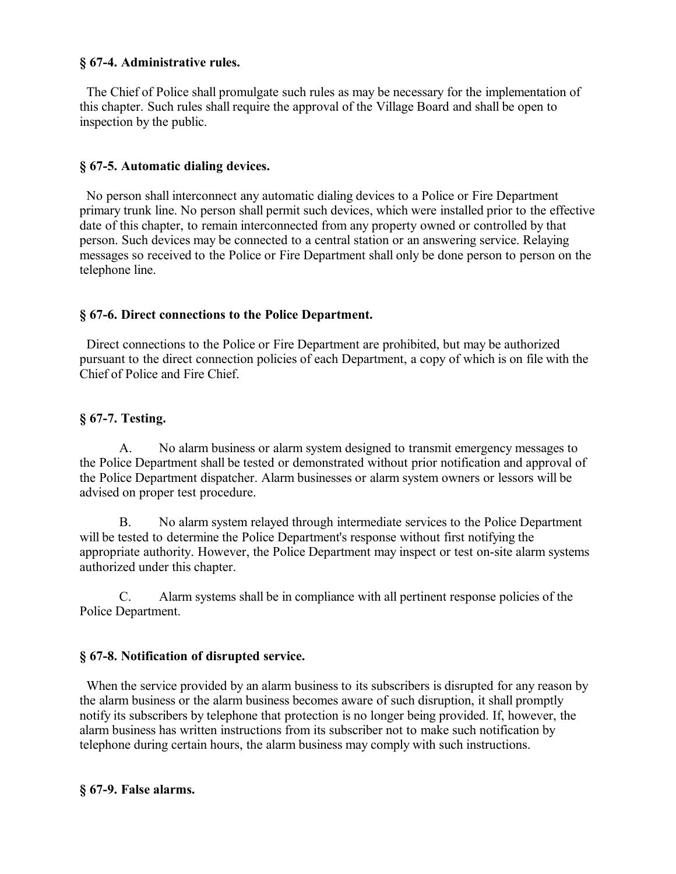#### **§ 67-4. Administrative rules.**

 The Chief of Police shall promulgate such rules as may be necessary for the implementation of this chapter. Such rules shall require the approval of the Village Board and shall be open to inspection by the public.

### **§ 67-5. Automatic dialing devices.**

 No person shall interconnect any automatic dialing devices to a Police or Fire Department primary trunk line. No person shall permit such devices, which were installed prior to the effective date of this chapter, to remain interconnected from any property owned or controlled by that person. Such devices may be connected to a central station or an answering service. Relaying messages so received to the Police or Fire Department shall only be done person to person on the telephone line.

## **§ 67-6. Direct connections to the Police Department.**

 Direct connections to the Police or Fire Department are prohibited, but may be authorized pursuant to the direct connection policies of each Department, a copy of which is on file with the Chief of Police and Fire Chief.

## **§ 67-7. Testing.**

A. No alarm business or alarm system designed to transmit emergency messages to the Police Department shall be tested or demonstrated without prior notification and approval of the Police Department dispatcher. Alarm businesses or alarm system owners or lessors will be advised on proper test procedure.

B. No alarm system relayed through intermediate services to the Police Department will be tested to determine the Police Department's response without first notifying the appropriate authority. However, the Police Department may inspect or test on-site alarm systems authorized under this chapter.

C. Alarm systems shall be in compliance with all pertinent response policies of the Police Department.

## **§ 67-8. Notification of disrupted service.**

 When the service provided by an alarm business to its subscribers is disrupted for any reason by the alarm business or the alarm business becomes aware of such disruption, it shall promptly notify its subscribers by telephone that protection is no longer being provided. If, however, the alarm business has written instructions from its subscriber not to make such notification by telephone during certain hours, the alarm business may comply with such instructions.

#### **§ 67-9. False alarms.**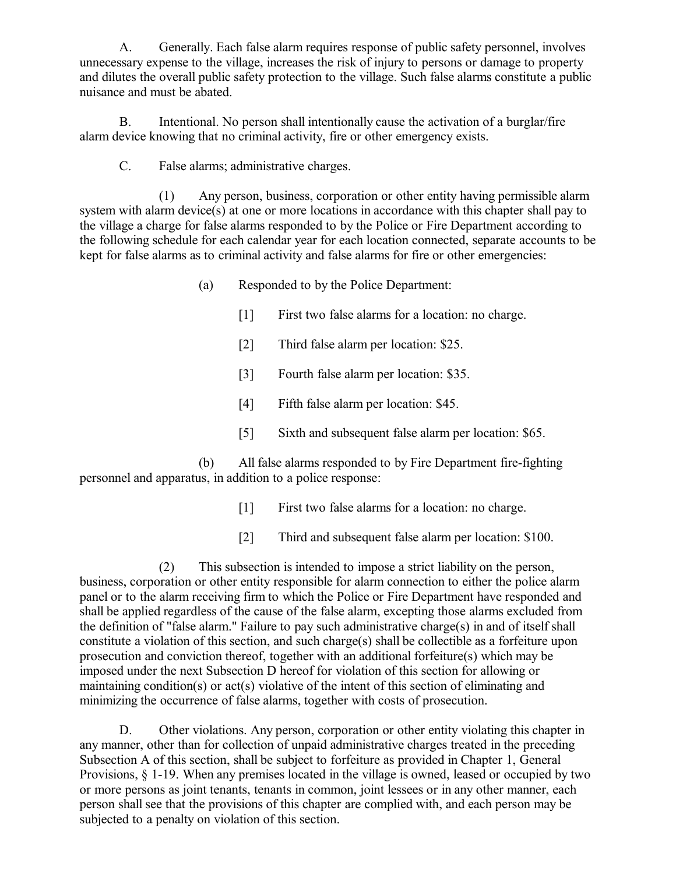A. Generally. Each false alarm requires response of public safety personnel, involves unnecessary expense to the village, increases the risk of injury to persons or damage to property and dilutes the overall public safety protection to the village. Such false alarms constitute a public nuisance and must be abated.

B. Intentional. No person shall intentionally cause the activation of a burglar/fire alarm device knowing that no criminal activity, fire or other emergency exists.

C. False alarms; administrative charges.

(1) Any person, business, corporation or other entity having permissible alarm system with alarm device(s) at one or more locations in accordance with this chapter shall pay to the village a charge for false alarms responded to by the Police or Fire Department according to the following schedule for each calendar year for each location connected, separate accounts to be kept for false alarms as to criminal activity and false alarms for fire or other emergencies:

- (a) Responded to by the Police Department:
	- [1] First two false alarms for a location: no charge.
	- [2] Third false alarm per location: \$25.
	- [3] Fourth false alarm per location: \$35.
	- [4] Fifth false alarm per location: \$45.
	- [5] Sixth and subsequent false alarm per location: \$65.

(b) All false alarms responded to by Fire Department fire-fighting personnel and apparatus, in addition to a police response:

- [1] First two false alarms for a location: no charge.
- [2] Third and subsequent false alarm per location: \$100.

(2) This subsection is intended to impose a strict liability on the person, business, corporation or other entity responsible for alarm connection to either the police alarm panel or to the alarm receiving firm to which the Police or Fire Department have responded and shall be applied regardless of the cause of the false alarm, excepting those alarms excluded from the definition of "false alarm." Failure to pay such administrative charge(s) in and of itself shall constitute a violation of this section, and such charge(s) shall be collectible as a forfeiture upon prosecution and conviction thereof, together with an additional forfeiture(s) which may be imposed under the next Subsection D hereof for violation of this section for allowing or maintaining condition(s) or act(s) violative of the intent of this section of eliminating and minimizing the occurrence of false alarms, together with costs of prosecution.

D. Other violations. Any person, corporation or other entity violating this chapter in any manner, other than for collection of unpaid administrative charges treated in the preceding Subsection A of this section, shall be subject to forfeiture as provided in Chapter 1, General Provisions, § 1-19. When any premises located in the village is owned, leased or occupied by two or more persons as joint tenants, tenants in common, joint lessees or in any other manner, each person shall see that the provisions of this chapter are complied with, and each person may be subjected to a penalty on violation of this section.